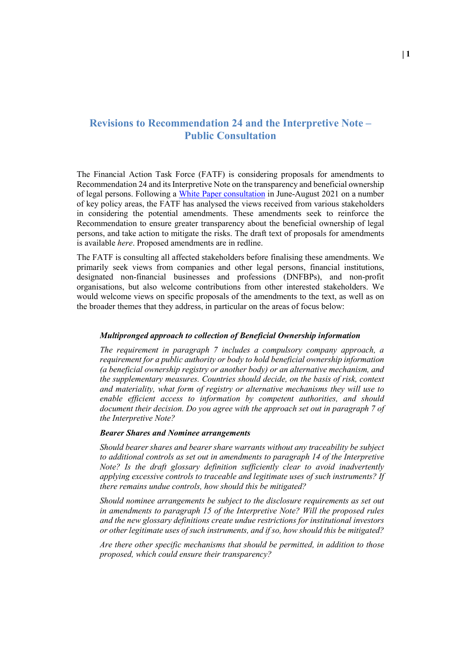# **Revisions to Recommendation 24 and the Interpretive Note – Public Consultation**

The Financial Action Task Force (FATF) is considering proposals for amendments to Recommendation 24 and its Interpretive Note on the transparency and beneficial ownership of legal persons. Following a [White Paper consultation](https://www.fatf-gafi.org/media/fatf/documents/publicconsultation/White-paper-R24-Public-Consultation.pdf) in June-August 2021 on a number of key policy areas, the FATF has analysed the views received from various stakeholders in considering the potential amendments. These amendments seek to reinforce the Recommendation to ensure greater transparency about the beneficial ownership of legal persons, and take action to mitigate the risks. The draft text of proposals for amendments is available *here*. Proposed amendments are in redline.

The FATF is consulting all affected stakeholders before finalising these amendments. We primarily seek views from companies and other legal persons, financial institutions, designated non-financial businesses and professions (DNFBPs), and non-profit organisations, but also welcome contributions from other interested stakeholders. We would welcome views on specific proposals of the amendments to the text, as well as on the broader themes that they address, in particular on the areas of focus below:

#### *Multipronged approach to collection of Beneficial Ownership information*

*The requirement in paragraph 7 includes a compulsory company approach, a requirement for a public authority or body to hold beneficial ownership information (a beneficial ownership registry or another body) or an alternative mechanism, and the supplementary measures. Countries should decide, on the basis of risk, context and materiality, what form of registry or alternative mechanisms they will use to enable efficient access to information by competent authorities, and should document their decision. Do you agree with the approach set out in paragraph 7 of the Interpretive Note?*

#### *Bearer Shares and Nominee arrangements*

*Should bearer shares and bearer share warrants without any traceability be subject to additional controls as set out in amendments to paragraph 14 of the Interpretive Note? Is the draft glossary definition sufficiently clear to avoid inadvertently applying excessive controls to traceable and legitimate uses of such instruments? If there remains undue controls, how should this be mitigated?* 

*Should nominee arrangements be subject to the disclosure requirements as set out in amendments to paragraph 15 of the Interpretive Note? Will the proposed rules and the new glossary definitions create undue restrictions for institutional investors or other legitimate uses of such instruments, and if so, how should this be mitigated?*

*Are there other specific mechanisms that should be permitted, in addition to those proposed, which could ensure their transparency?*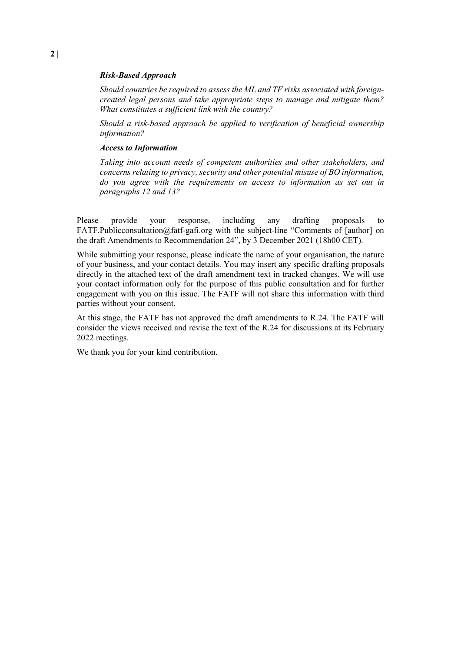#### *Risk-Based Approach*

*Should countries be required to assess the ML and TF risks associated with foreigncreated legal persons and take appropriate steps to manage and mitigate them? What constitutes a sufficient link with the country?* 

*Should a risk-based approach be applied to verification of beneficial ownership information?*

#### *Access to Information*

*Taking into account needs of competent authorities and other stakeholders, and concerns relating to privacy, security and other potential misuse of BO information, do you agree with the requirements on access to information as set out in paragraphs 12 and 13?* 

Please provide your response, including any drafting proposals to FATF.Publicconsultation@fatf-gafi.org with the subject-line "Comments of [author] on the draft Amendments to Recommendation 24", by 3 December 2021 (18h00 CET).

While submitting your response, please indicate the name of your organisation, the nature of your business, and your contact details. You may insert any specific drafting proposals directly in the attached text of the draft amendment text in tracked changes. We will use your contact information only for the purpose of this public consultation and for further engagement with you on this issue. The FATF will not share this information with third parties without your consent.

At this stage, the FATF has not approved the draft amendments to R.24. The FATF will consider the views received and revise the text of the R.24 for discussions at its February 2022 meetings.

We thank you for your kind contribution.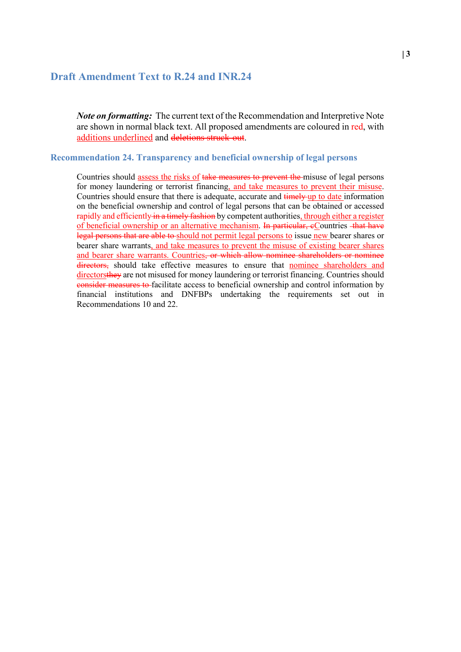# **Draft Amendment Text to R.24 and INR.24**

*Note on formatting:* The current text of the Recommendation and Interpretive Note are shown in normal black text. All proposed amendments are coloured in red, with additions underlined and deletions struck-out.

### **Recommendation 24. Transparency and beneficial ownership of legal persons**

Countries should assess the risks of take measures to prevent the misuse of legal persons for money laundering or terrorist financing, and take measures to prevent their misuse. Countries should ensure that there is adequate, accurate and  $t$ imely up to date information on the beneficial ownership and control of legal persons that can be obtained or accessed rapidly and efficiently in a timely fashion by competent authorities, through either a register of beneficial ownership or an alternative mechanism. In particular, eCountries that have legal persons that are able to should not permit legal persons to issue new bearer shares or bearer share warrants, and take measures to prevent the misuse of existing bearer shares and bearer share warrants. Countries<del>, or which allow nominee shareholders or nominee</del> directors, should take effective measures to ensure that nominee shareholders and directorsthey are not misused for money laundering or terrorist financing. Countries should **consider measures to** facilitate access to beneficial ownership and control information by financial institutions and DNFBPs undertaking the requirements set out in Recommendations 10 and 22.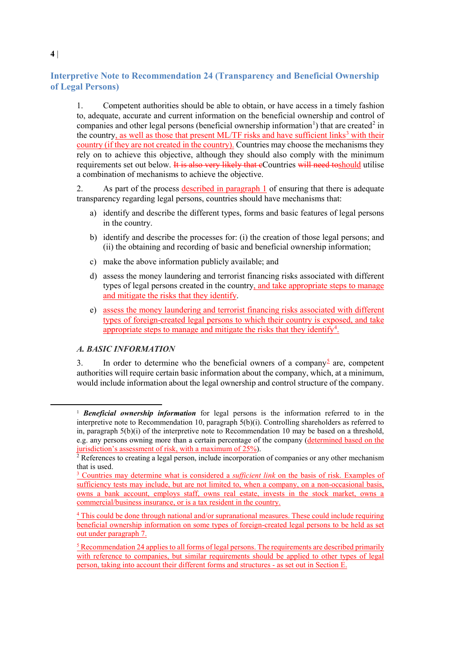# **Interpretive Note to Recommendation 24 (Transparency and Beneficial Ownership of Legal Persons)**

1. Competent authorities should be able to obtain, or have access in a timely fashion to, adequate, accurate and current information on the beneficial ownership and control of companies and other legal persons (beneficial ownership information<sup>[1](#page-3-0)</sup>) that are created<sup>[2](#page-3-1)</sup> in the country, as well as those that present ML/TF risks and have sufficient links<sup>[3](#page-3-2)</sup> with their country (if they are not created in the country). Countries may choose the mechanisms they rely on to achieve this objective, although they should also comply with the minimum requirements set out below. It is also very likely that eCountries will need to should utilise a combination of mechanisms to achieve the objective.

2. As part of the process described in paragraph 1 of ensuring that there is adequate transparency regarding legal persons, countries should have mechanisms that:

- a) identify and describe the different types, forms and basic features of legal persons in the country.
- b) identify and describe the processes for: (i) the creation of those legal persons; and (ii) the obtaining and recording of basic and beneficial ownership information;
- c) make the above information publicly available; and
- d) assess the money laundering and terrorist financing risks associated with different types of legal persons created in the country, and take appropriate steps to manage and mitigate the risks that they identify.
- e) assess the money laundering and terrorist financing risks associated with different types of foreign-created legal persons to which their country is exposed, and take appropriate steps to manage and mitigate the risks that they identify<sup>[4](#page-3-3)</sup>.

#### *A. BASIC INFORMATION*

3. In order to determine who the beneficial owners of a company<sup>[5](#page-3-4)</sup> are, competent authorities will require certain basic information about the company, which, at a minimum, would include information about the legal ownership and control structure of the company.

<span id="page-3-0"></span><sup>1</sup> *Beneficial ownership information* for legal persons is the information referred to in the interpretive note to Recommendation 10, paragraph 5(b)(i). Controlling shareholders as referred to in, paragraph  $5(b)(i)$  of the interpretive note to Recommendation 10 may be based on a threshold, e.g. any persons owning more than a certain percentage of the company (determined based on the jurisdiction's assessment of risk, with a maximum of 25%).

<span id="page-3-1"></span><sup>&</sup>lt;sup>2</sup> References to creating a legal person, include incorporation of companies or any other mechanism that is used.

<span id="page-3-2"></span><sup>3</sup> Countries may determine what is considered a *sufficient link* on the basis of risk. Examples of sufficiency tests may include, but are not limited to, when a company, on a non-occasional basis, owns a bank account, employs staff, owns real estate, invests in the stock market, owns a commercial/business insurance, or is a tax resident in the country.

<span id="page-3-3"></span><sup>4</sup> This could be done through national and/or supranational measures. These could include requiring beneficial ownership information on some types of foreign-created legal persons to be held as set out under paragraph 7.

<span id="page-3-4"></span> $<sup>5</sup>$  Recommendation 24 applies to all forms of legal persons. The requirements are described primarily</sup> with reference to companies, but similar requirements should be applied to other types of legal person, taking into account their different forms and structures - as set out in Section E.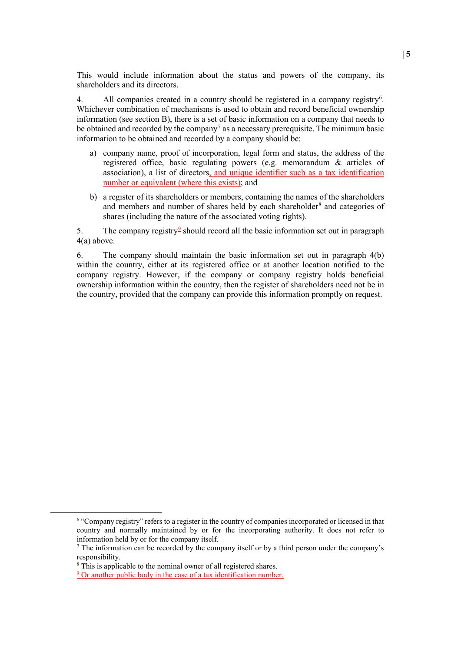This would include information about the status and powers of the company, its shareholders and its directors.

4. All companies created in a country should be registered in a company registry<sup>[6](#page-4-0)</sup>. Whichever combination of mechanisms is used to obtain and record beneficial ownership information (see section B), there is a set of basic information on a company that needs to be obtained and recorded by the company<sup>[7](#page-4-1)</sup> as a necessary prerequisite. The minimum basic information to be obtained and recorded by a company should be:

- a) company name, proof of incorporation, legal form and status, the address of the registered office, basic regulating powers (e.g. memorandum & articles of association), a list of directors, and unique identifier such as a tax identification number or equivalent (where this exists); and
- b) a register of its shareholders or members, containing the names of the shareholders and members and number of shares held by each shareholder<sup>[8](#page-4-2)</sup> and categories of shares (including the nature of the associated voting rights).

5. The company registry<sup>[9](#page-4-3)</sup> should record all the basic information set out in paragraph 4(a) above.

6. The company should maintain the basic information set out in paragraph 4(b) within the country, either at its registered office or at another location notified to the company registry. However, if the company or company registry holds beneficial ownership information within the country, then the register of shareholders need not be in the country, provided that the company can provide this information promptly on request.

<span id="page-4-0"></span><sup>&</sup>lt;sup>6</sup> "Company registry" refers to a register in the country of companies incorporated or licensed in that country and normally maintained by or for the incorporating authority. It does not refer to information held by or for the company itself.

<span id="page-4-1"></span> $^7$  The information can be recorded by the company itself or by a third person under the company's responsibility.

<sup>&</sup>lt;sup>8</sup> This is applicable to the nominal owner of all registered shares.

<span id="page-4-3"></span><span id="page-4-2"></span><sup>&</sup>lt;sup>9</sup> Or another public body in the case of a tax identification number.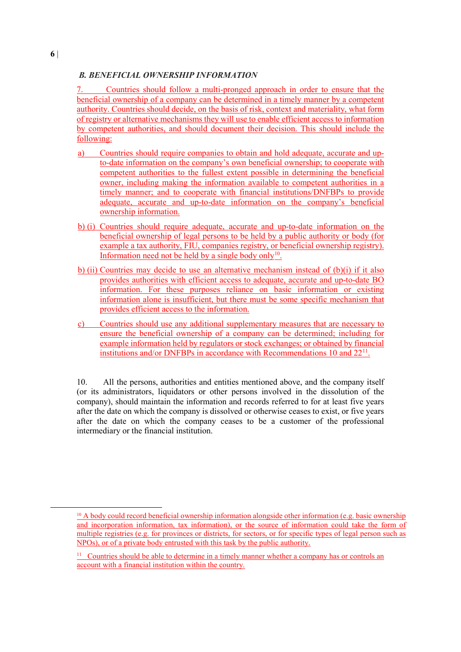#### *B. BENEFICIAL OWNERSHIP INFORMATION*

7. Countries should follow a multi-pronged approach in order to ensure that the beneficial ownership of a company can be determined in a timely manner by a competent authority. Countries should decide, on the basis of risk, context and materiality, what form of registry or alternative mechanisms they will use to enable efficient access to information by competent authorities, and should document their decision. This should include the following:

- a) Countries should require companies to obtain and hold adequate, accurate and upto-date information on the company's own beneficial ownership; to cooperate with competent authorities to the fullest extent possible in determining the beneficial owner, including making the information available to competent authorities in a timely manner; and to cooperate with financial institutions/DNFBPs to provide adequate, accurate and up-to-date information on the company's beneficial ownership information.
- b) (i) Countries should require adequate, accurate and up-to-date information on the beneficial ownership of legal persons to be held by a public authority or body (for example a tax authority, FIU, companies registry, or beneficial ownership registry). Information need not be held by a single body only<sup>[10](#page-5-0)</sup>.
- b) (ii) Countries may decide to use an alternative mechanism instead of  $(b)(i)$  if it also provides authorities with efficient access to adequate, accurate and up-to-date BO information. For these purposes reliance on basic information or existing information alone is insufficient, but there must be some specific mechanism that provides efficient access to the information.
- c) Countries should use any additional supplementary measures that are necessary to ensure the beneficial ownership of a company can be determined; including for example information held by regulators or stock exchanges; or obtained by financial institutions and/or DNFBPs in accordance with Recommendations  $10$  and  $22<sup>11</sup>$  $22<sup>11</sup>$  $22<sup>11</sup>$ .

10. All the persons, authorities and entities mentioned above, and the company itself (or its administrators, liquidators or other persons involved in the dissolution of the company), should maintain the information and records referred to for at least five years after the date on which the company is dissolved or otherwise ceases to exist, or five years after the date on which the company ceases to be a customer of the professional intermediary or the financial institution.

<span id="page-5-0"></span><sup>&</sup>lt;sup>10</sup> A body could record beneficial ownership information alongside other information (e.g. basic ownership and incorporation information, tax information), or the source of information could take the form of multiple registries (e.g. for provinces or districts, for sectors, or for specific types of legal person such as NPOs), or of a private body entrusted with this task by the public authority.

<span id="page-5-1"></span> $11$  Countries should be able to determine in a timely manner whether a company has or controls an account with a financial institution within the country.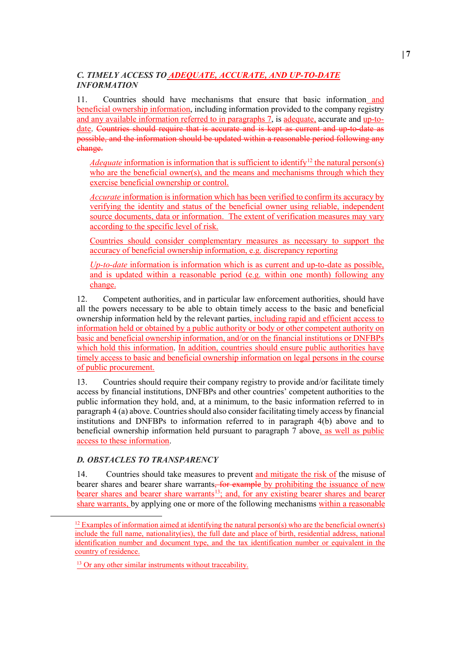## *C. TIMELY ACCESS TO ADEQUATE, ACCURATE, AND UP-TO-DATE INFORMATION*

11. Countries should have mechanisms that ensure that basic information and beneficial ownership information, including information provided to the company registry and any available information referred to in paragraphs 7, is adequate, accurate and up-todate. Countries should require that is accurate and is kept as current and up-to-date as possible, and the information should be updated within a reasonable period following any change.

*Adequate* information is information that is sufficient to identify<sup>[12](#page-6-0)</sup> the natural person(s) who are the beneficial owner(s), and the means and mechanisms through which they exercise beneficial ownership or control.

*Accurate* information is information which has been verified to confirm its accuracy by verifying the identity and status of the beneficial owner using reliable, independent source documents, data or information. The extent of verification measures may vary according to the specific level of risk.

Countries should consider complementary measures as necessary to support the accuracy of beneficial ownership information, e.g. discrepancy reporting

*Up-to-date* information is information which is as current and up-to-date as possible, and is updated within a reasonable period (e.g. within one month) following any change.

12. Competent authorities, and in particular law enforcement authorities, should have all the powers necessary to be able to obtain timely access to the basic and beneficial ownership information held by the relevant parties, including rapid and efficient access to information held or obtained by a public authority or body or other competent authority on basic and beneficial ownership information, and/or on the financial institutions or DNFBPs which hold this information. In addition, countries should ensure public authorities have timely access to basic and beneficial ownership information on legal persons in the course of public procurement.

13. Countries should require their company registry to provide and/or facilitate timely access by financial institutions, DNFBPs and other countries' competent authorities to the public information they hold, and, at a minimum, to the basic information referred to in paragraph 4 (a) above. Countries should also consider facilitating timely access by financial institutions and DNFBPs to information referred to in paragraph 4(b) above and to beneficial ownership information held pursuant to paragraph 7 above, as well as public access to these information.

#### *D. OBSTACLES TO TRANSPARENCY*

<span id="page-6-1"></span><span id="page-6-0"></span> $\overline{a}$ 

14. Countries should take measures to prevent and mitigate the risk of the misuse of bearer shares and bearer share warrants, for example by prohibiting the issuance of new bearer shares and bearer share warrants<sup>[13](#page-6-1)</sup>; and, for any existing bearer shares and bearer share warrants, by applying one or more of the following mechanisms within a reasonable

 $12$  Examples of information aimed at identifying the natural person(s) who are the beneficial owner(s) include the full name, nationality(ies), the full date and place of birth, residential address, national identification number and document type, and the tax identification number or equivalent in the country of residence.

<sup>&</sup>lt;sup>13</sup> Or any other similar instruments without traceability.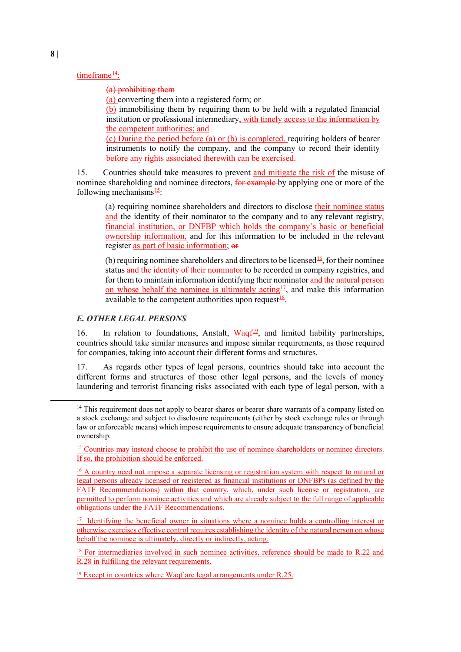timeframe $14$ :

(a) prohibiting them

(a) converting them into a registered form; or

(b) immobilising them by requiring them to be held with a regulated financial institution or professional intermediary, with timely access to the information by the competent authorities; and

(c) During the period before (a) or (b) is completed, requiring holders of bearer instruments to notify the company, and the company to record their identity before any rights associated therewith can be exercised.

15. Countries should take measures to prevent and mitigate the risk of the misuse of nominee shareholding and nominee directors, for example by applying one or more of the following mechanisms $\frac{15}{2}$  $\frac{15}{2}$  $\frac{15}{2}$ :

(a) requiring nominee shareholders and directors to disclose their nominee status and the identity of their nominator to the company and to any relevant registry, financial institution, or DNFBP which holds the company's basic or beneficial ownership information, and for this information to be included in the relevant register as part of basic information; or

(b) requiring nominee shareholders and directors to be licensed<sup>[16](#page-7-2)</sup>, for their nominee status and the identity of their nominator to be recorded in company registries, and for them to maintain information identifying their nominator and the natural person on whose behalf the nominee is ultimately acting<sup>[17](#page-7-3)</sup>, and make this information available to the competent authorities upon request $\frac{18}{18}$  $\frac{18}{18}$  $\frac{18}{18}$ .

## *E. OTHER LEGAL PERSONS*

16. In relation to foundations, Anstalt,  $Waqf^{19}$  $Waqf^{19}$  $Waqf^{19}$ , and limited liability partnerships, countries should take similar measures and impose similar requirements, as those required for companies, taking into account their different forms and structures.

17. As regards other types of legal persons, countries should take into account the different forms and structures of those other legal persons, and the levels of money laundering and terrorist financing risks associated with each type of legal person, with a

<span id="page-7-0"></span><sup>&</sup>lt;sup>14</sup> This requirement does not apply to bearer shares or bearer share warrants of a company listed on a stock exchange and subject to disclosure requirements (either by stock exchange rules or through law or enforceable means) which impose requirements to ensure adequate transparency of beneficial ownership.

<span id="page-7-1"></span><sup>&</sup>lt;sup>15</sup> Countries may instead choose to prohibit the use of nominee shareholders or nominee directors. If so, the prohibition should be enforced.

<span id="page-7-2"></span><sup>&</sup>lt;sup>16</sup> A country need not impose a separate licensing or registration system with respect to natural or legal persons already licensed or registered as financial institutions or DNFBPs (as defined by the FATF Recommendations) within that country, which, under such license or registration, are permitted to perform nominee activities and which are already subject to the full range of applicable obligations under the FATF Recommendations.

<span id="page-7-3"></span><sup>&</sup>lt;sup>17</sup> Identifying the beneficial owner in situations where a nominee holds a controlling interest or otherwise exercises effective control requires establishing the identity of the natural person on whose behalf the nominee is ultimately, directly or indirectly, acting.

<span id="page-7-4"></span><sup>&</sup>lt;sup>18</sup> For intermediaries involved in such nominee activities, reference should be made to R.22 and R.28 in fulfilling the relevant requirements.

<span id="page-7-5"></span><sup>&</sup>lt;sup>19</sup> Except in countries where Waqf are legal arrangements under R.25.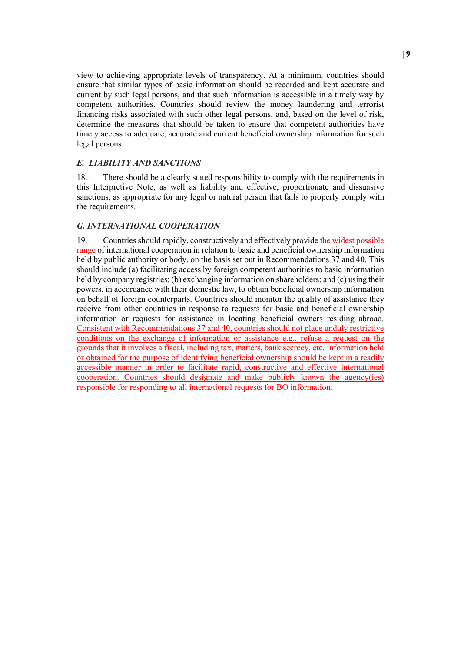view to achieving appropriate levels of transparency. At a minimum, countries should ensure that similar types of basic information should be recorded and kept accurate and current by such legal persons, and that such information is accessible in a timely way by competent authorities. Countries should review the money laundering and terrorist financing risks associated with such other legal persons, and, based on the level of risk, determine the measures that should be taken to ensure that competent authorities have timely access to adequate, accurate and current beneficial ownership information for such legal persons.

#### *E. LIABILITY AND SANCTIONS*

18. There should be a clearly stated responsibility to comply with the requirements in this Interpretive Note, as well as liability and effective, proportionate and dissuasive sanctions, as appropriate for any legal or natural person that fails to properly comply with the requirements.

#### *G. INTERNATIONAL COOPERATION*

19. Countries should rapidly, constructively and effectively provide the widest possible range of international cooperation in relation to basic and beneficial ownership information held by public authority or body, on the basis set out in Recommendations 37 and 40. This should include (a) facilitating access by foreign competent authorities to basic information held by company registries; (b) exchanging information on shareholders; and (c) using their powers, in accordance with their domestic law, to obtain beneficial ownership information on behalf of foreign counterparts. Countries should monitor the quality of assistance they receive from other countries in response to requests for basic and beneficial ownership information or requests for assistance in locating beneficial owners residing abroad. Consistent with Recommendations 37 and 40, countries should not place unduly restrictive conditions on the exchange of information or assistance e.g., refuse a request on the grounds that it involves a fiscal, including tax, matters, bank secrecy, etc. Information held or obtained for the purpose of identifying beneficial ownership should be kept in a readily accessible manner in order to facilitate rapid, constructive and effective international cooperation. Countries should designate and make publicly known the agency(ies) responsible for responding to all international requests for BO information.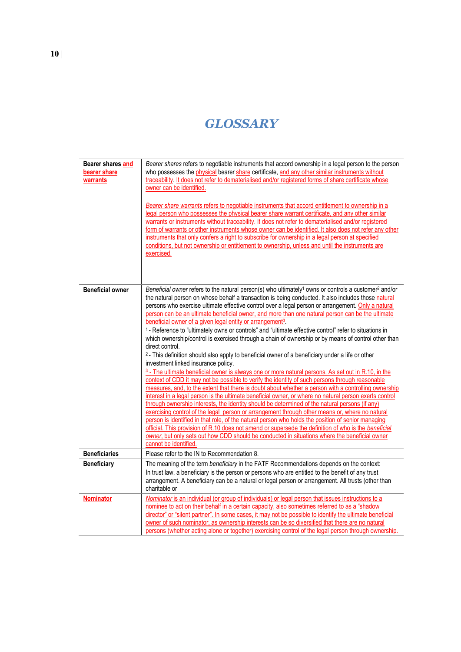# *GLOSSARY*

| Bearer shares and<br>bearer share<br>warrants | Bearer shares refers to negotiable instruments that accord ownership in a legal person to the person<br>who possesses the physical bearer share certificate, and any other similar instruments without<br>traceability. It does not refer to dematerialised and/or registered forms of share certificate whose<br>owner can be identified.<br>Bearer share warrants refers to negotiable instruments that accord entitlement to ownership in a<br>legal person who possesses the physical bearer share warrant certificate, and any other similar<br>warrants or instruments without traceability. It does not refer to dematerialised and/or registered<br>form of warrants or other instruments whose owner can be identified. It also does not refer any other<br>instruments that only confers a right to subscribe for ownership in a legal person at specified<br>conditions, but not ownership or entitlement to ownership, unless and until the instruments are<br>exercised. |
|-----------------------------------------------|---------------------------------------------------------------------------------------------------------------------------------------------------------------------------------------------------------------------------------------------------------------------------------------------------------------------------------------------------------------------------------------------------------------------------------------------------------------------------------------------------------------------------------------------------------------------------------------------------------------------------------------------------------------------------------------------------------------------------------------------------------------------------------------------------------------------------------------------------------------------------------------------------------------------------------------------------------------------------------------|
| <b>Beneficial owner</b>                       | Beneficial owner refers to the natural person(s) who ultimately <sup>1</sup> owns or controls a customer <sup>2</sup> and/or<br>the natural person on whose behalf a transaction is being conducted. It also includes those natural<br>persons who exercise ultimate effective control over a legal person or arrangement. Only a natural                                                                                                                                                                                                                                                                                                                                                                                                                                                                                                                                                                                                                                             |
|                                               | person can be an ultimate beneficial owner, and more than one natural person can be the ultimate<br>beneficial owner of a given legal entity or arrangement <sup>3</sup> .                                                                                                                                                                                                                                                                                                                                                                                                                                                                                                                                                                                                                                                                                                                                                                                                            |
|                                               | <sup>1</sup> - Reference to "ultimately owns or controls" and "ultimate effective control" refer to situations in<br>which ownership/control is exercised through a chain of ownership or by means of control other than<br>direct control.                                                                                                                                                                                                                                                                                                                                                                                                                                                                                                                                                                                                                                                                                                                                           |
|                                               | <sup>2</sup> - This definition should also apply to beneficial owner of a beneficiary under a life or other<br>investment linked insurance policy.                                                                                                                                                                                                                                                                                                                                                                                                                                                                                                                                                                                                                                                                                                                                                                                                                                    |
|                                               | 3 - The ultimate beneficial owner is always one or more natural persons. As set out in R.10, in the<br>context of CDD it may not be possible to verify the identity of such persons through reasonable<br>measures, and, to the extent that there is doubt about whether a person with a controlling ownership                                                                                                                                                                                                                                                                                                                                                                                                                                                                                                                                                                                                                                                                        |
|                                               | interest in a legal person is the ultimate beneficial owner, or where no natural person exerts control                                                                                                                                                                                                                                                                                                                                                                                                                                                                                                                                                                                                                                                                                                                                                                                                                                                                                |
|                                               | through ownership interests, the identity should be determined of the natural persons (if any)                                                                                                                                                                                                                                                                                                                                                                                                                                                                                                                                                                                                                                                                                                                                                                                                                                                                                        |
|                                               | exercising control of the legal person or arrangement through other means or, where no natural<br>person is identified in that role, of the natural person who holds the position of senior managing                                                                                                                                                                                                                                                                                                                                                                                                                                                                                                                                                                                                                                                                                                                                                                                  |
|                                               | official. This provision of R.10 does not amend or supersede the definition of who is the beneficial                                                                                                                                                                                                                                                                                                                                                                                                                                                                                                                                                                                                                                                                                                                                                                                                                                                                                  |
|                                               | owner, but only sets out how CDD should be conducted in situations where the beneficial owner                                                                                                                                                                                                                                                                                                                                                                                                                                                                                                                                                                                                                                                                                                                                                                                                                                                                                         |
| <b>Beneficiaries</b>                          | cannot be identified.<br>Please refer to the IN to Recommendation 8.                                                                                                                                                                                                                                                                                                                                                                                                                                                                                                                                                                                                                                                                                                                                                                                                                                                                                                                  |
|                                               |                                                                                                                                                                                                                                                                                                                                                                                                                                                                                                                                                                                                                                                                                                                                                                                                                                                                                                                                                                                       |
| <b>Beneficiary</b>                            | The meaning of the term beneficiary in the FATF Recommendations depends on the context:<br>In trust law, a beneficiary is the person or persons who are entitled to the benefit of any trust<br>arrangement. A beneficiary can be a natural or legal person or arrangement. All trusts (other than<br>charitable or                                                                                                                                                                                                                                                                                                                                                                                                                                                                                                                                                                                                                                                                   |
| <b>Nominator</b>                              | Nominator is an individual (or group of individuals) or legal person that issues instructions to a                                                                                                                                                                                                                                                                                                                                                                                                                                                                                                                                                                                                                                                                                                                                                                                                                                                                                    |
|                                               | nominee to act on their behalf in a certain capacity, also sometimes referred to as a "shadow                                                                                                                                                                                                                                                                                                                                                                                                                                                                                                                                                                                                                                                                                                                                                                                                                                                                                         |
|                                               | director" or "silent partner". In some cases, it may not be possible to identify the ultimate beneficial<br>owner of such nominator, as ownership interests can be so diversified that there are no natural                                                                                                                                                                                                                                                                                                                                                                                                                                                                                                                                                                                                                                                                                                                                                                           |
|                                               | persons (whether acting alone or together) exercising control of the legal person through ownership.                                                                                                                                                                                                                                                                                                                                                                                                                                                                                                                                                                                                                                                                                                                                                                                                                                                                                  |
|                                               |                                                                                                                                                                                                                                                                                                                                                                                                                                                                                                                                                                                                                                                                                                                                                                                                                                                                                                                                                                                       |